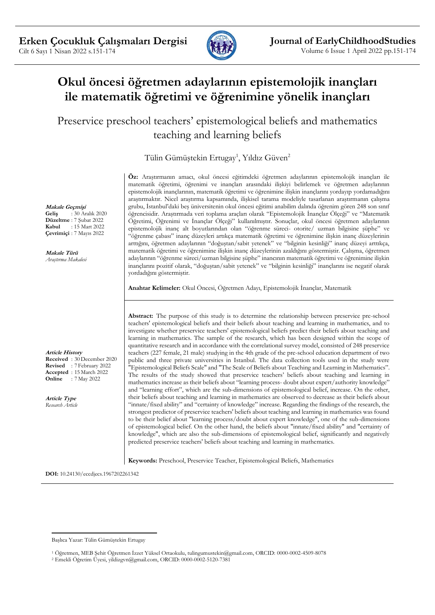

# **Okul öncesi öğretmen adaylarının epistemolojik inançları ile matematik öğretimi ve öğrenimine yönelik inançları**

Preservice preschool teachers' epistemological beliefs and mathematics teaching and learning beliefs

Tülin Gümüştekin Ertugay<sup>1</sup>, Yıldız Güven<sup>2</sup>

**Makale Geçmişi**<br>**Gelis** : 30 Ar **Geliş** : 30 Aralık 2020

**Düzeltme** : 7 Şubat 2022 **Kabul** : 15 Mart 2022 **Çevrimiçi** : 7 Mayıs 2022

**Makale Türü** *Araştırma Makalesi*

**Article History Received** : 30 December 2020 **Revised** : 7 February 2022 **Accepted** : 15 March 2022 **Online** : 7 May 2022

**Article Type** *Research Article* **Öz:** Araştırmanın amacı, okul öncesi eğitimdeki öğretmen adaylarının epistemolojik inançları ile matematik öğretimi, öğrenimi ve inançları arasındaki ilişkiyi belirlemek ve öğretmen adaylarının epistemolojik inançlarının, matematik öğretimi ve öğrenimine ilişkin inançlarını yordayıp yordamadığını araştırmaktır. Nicel araştırma kapsamında, ilişkisel tarama modeliyle tasarlanan araştırmanın çalışma grubu, İstanbul'daki beş üniversitenin okul öncesi eğitimi anabilim dalında öğrenim gören 248 son sınıf öğrencisidir. Araştırmada veri toplama araçları olarak "Epistemolojik İnançlar Ölçeği" ve "Matematik Öğretimi, Öğrenimi ve İnançlar Ölçeği" kullanılmıştır. Sonuçlar, okul öncesi öğretmen adaylarının epistemolojik inanç alt boyutlarından olan "öğrenme süreci- otorite/ uzman bilgisine şüphe" ve "öğrenme çabası" inanç düzeyleri artıkça matematik öğretimi ve öğrenimine ilişkin inanç düzeylerinin arttığını, öğretmen adaylarının "doğuştan/sabit yetenek" ve "bilginin kesinliği" inanç düzeyi arttıkça, matematik öğretimi ve öğrenimine ilişkin inanç düzeylerinin azaldığını göstermiştir. Çalışma, öğretmen adaylarının "öğrenme süreci/uzman bilgisine şüphe" inancının matematik öğretimi ve öğrenimine ilişkin inançlarını pozitif olarak, "doğuştan/sabit yetenek" ve "bilginin kesinliği" inançlarını ise negatif olarak yordadığını göstermiştir.

**Anahtar Kelimeler:** Okul Öncesi, Öğretmen Adayı, Epistemolojik İnançlar, Matematik

**Abstract:** The purpose of this study is to determine the relationship between preservice pre-school teachers' epistemological beliefs and their beliefs about teaching and learning in mathematics, and to investigate whether preservice teachers' epistemological beliefs predict their beliefs about teaching and learning in mathematics. The sample of the research, which has been designed within the scope of quantitative research and in accordance with the correlational survey model, consisted of 248 preservice teachers (227 female, 21 male) studying in the 4th grade of the pre-school education department of two public and three private universities in Istanbul. The data collection tools used in the study were "Epistemological Beliefs Scale" and "The Scale of Beliefs about Teaching and Learning in Mathematics". The results of the study showed that preservice teachers' beliefs about teaching and learning in mathematics increase as their beliefs about "learning process- doubt about expert/authority knowledge" and "learning effort", which are the sub-dimensions of epistemological belief, increase. On the other, their beliefs about teaching and learning in mathematics are observed to decrease as their beliefs about "innate/fixed ability" and "certainty of knowledge" increase. Regarding the findings of the research, the strongest predictor of preservice teachers' beliefs about teaching and learning in mathematics was found to be their belief about "learning process/doubt about expert knowledge", one of the sub-dimensions of epistemological belief. On the other hand, the beliefs about "innate/fixed ability" and "certainty of knowledge", which are also the sub-dimensions of epistemological belief, significantly and negatively predicted preservice teachers' beliefs about teaching and learning in mathematics.

**Keywords:** Preschool, Preservice Teacher, Epistemological Beliefs, Mathematics

**DOI:** 10.24130/eccdjecs.1967202261342

Başlıca Yazar: Tülin Gümüştekin Ertugay

<sup>1</sup> Öğretmen, MEB Şehit Öğretmen İzzet Yüksel Ortaokulu, tulingumustekin@gmail.com, ORCID: 0000-0002-4509-8078

<sup>2</sup> Emekli Öğretim Üyesi, yildizgvn@gmail.com, ORCID: 0000-0002-5120-7381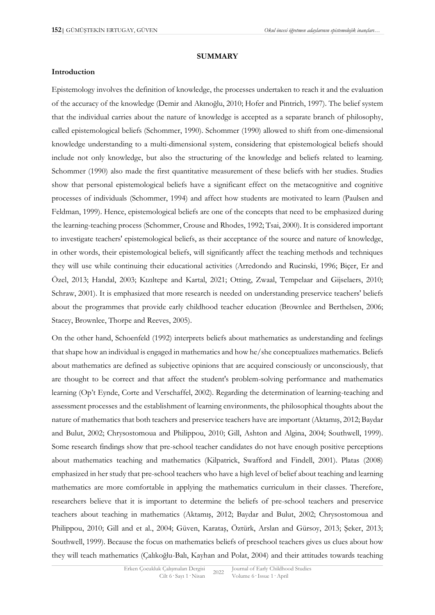#### **SUMMARY**

### **Introduction**

Epistemology involves the definition of knowledge, the processes undertaken to reach it and the evaluation of the accuracy of the knowledge (Demir and Akınoğlu, 2010; Hofer and Pintrich, 1997). The belief system that the individual carries about the nature of knowledge is accepted as a separate branch of philosophy, called epistemological beliefs (Schommer, 1990). Schommer (1990) allowed to shift from one-dimensional knowledge understanding to a multi-dimensional system, considering that epistemological beliefs should include not only knowledge, but also the structuring of the knowledge and beliefs related to learning. Schommer (1990) also made the first quantitative measurement of these beliefs with her studies. Studies show that personal epistemological beliefs have a significant effect on the metacognitive and cognitive processes of individuals (Schommer, 1994) and affect how students are motivated to learn (Paulsen and Feldman, 1999). Hence, epistemological beliefs are one of the concepts that need to be emphasized during the learning-teaching process (Schommer, Crouse and Rhodes, 1992; Tsai, 2000). It is considered important to investigate teachers' epistemological beliefs, as their acceptance of the source and nature of knowledge, in other words, their epistemological beliefs, will significantly affect the teaching methods and techniques they will use while continuing their educational activities (Arredondo and Rucinski, 1996; Biçer, Er and Özel, 2013; Handal, 2003; Kızıltepe and Kartal, 2021; Otting, Zwaal, Tempelaar and Gijselaers, 2010; Schraw, 2001). It is emphasized that more research is needed on understanding preservice teachers' beliefs about the programmes that provide early childhood teacher education (Brownlee and Berthelsen, 2006; Stacey, Brownlee, Thorpe and Reeves, 2005).

On the other hand, Schoenfeld (1992) interprets beliefs about mathematics as understanding and feelings that shape how an individual is engaged in mathematics and how he/she conceptualizes mathematics. Beliefs about mathematics are defined as subjective opinions that are acquired consciously or unconsciously, that are thought to be correct and that affect the student's problem-solving performance and mathematics learning (Op't Eynde, Corte and Verschaffel, 2002). Regarding the determination of learning-teaching and assessment processes and the establishment of learning environments, the philosophical thoughts about the nature of mathematics that both teachers and preservice teachers have are important (Aktamış, 2012; Baydar and Bulut, 2002; Chrysostomoua and Philippou, 2010; Gill, Ashton and Algina, 2004; Southwell, 1999). Some research findings show that pre-school teacher candidates do not have enough positive perceptions about mathematics teaching and mathematics (Kilpatrick, Swafford and Findell, 2001). Platas (2008) emphasized in her study that pre-school teachers who have a high level of belief about teaching and learning mathematics are more comfortable in applying the mathematics curriculum in their classes. Therefore, researchers believe that it is important to determine the beliefs of pre-school teachers and preservice teachers about teaching in mathematics (Aktamış, 2012; Baydar and Bulut, 2002; Chrysostomoua and Philippou, 2010; Gill and et al., 2004; Güven, Karataş, Öztürk, Arslan and Gürsoy, 2013; Şeker, 2013; Southwell, 1999). Because the focus on mathematics beliefs of preschool teachers gives us clues about how they will teach mathematics (Çalıkoğlu-Balı, Kayhan and Polat, 2004) and their attitudes towards teaching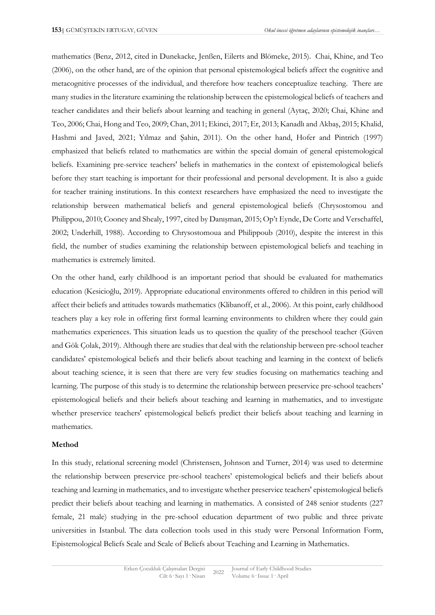mathematics (Benz, 2012, cited in Dunekacke, Jenßen, Eilerts and Blömeke, 2015). Chai, Khine, and Teo (2006), on the other hand, are of the opinion that personal epistemological beliefs affect the cognitive and metacognitive processes of the individual, and therefore how teachers conceptualize teaching. There are many studies in the literature examining the relationship between the epistemological beliefs of teachers and teacher candidates and their beliefs about learning and teaching in general (Aytaç, 2020; Chai, Khine and Teo, 2006; Chai, Hong and Teo, 2009; Chan, 2011; Ekinci, 2017; Er, 2013; Kanadlı and Akbaş, 2015; Khalid, Hashmi and Javed, 2021; Yılmaz and Şahin, 2011). On the other hand, Hofer and Pintrich (1997) emphasized that beliefs related to mathematics are within the special domain of general epistemological beliefs. Examining pre-service teachers' beliefs in mathematics in the context of epistemological beliefs before they start teaching is important for their professional and personal development. It is also a guide for teacher training institutions. In this context researchers have emphasized the need to investigate the relationship between mathematical beliefs and general epistemological beliefs (Chrysostomou and Philippou, 2010; Cooney and Shealy, 1997, cited by Danışman, 2015; Op't Eynde, De Corte and Verschaffel, 2002; Underhill, 1988). According to Chrysostomoua and Philippoub (2010), despite the interest in this field, the number of studies examining the relationship between epistemological beliefs and teaching in mathematics is extremely limited.

On the other hand, early childhood is an important period that should be evaluated for mathematics education (Kesicioğlu, 2019). Appropriate educational environments offered to children in this period will affect their beliefs and attitudes towards mathematics (Klibanoff, et al., 2006). At this point, early childhood teachers play a key role in offering first formal learning environments to children where they could gain mathematics experiences. This situation leads us to question the quality of the preschool teacher (Güven and Gök Çolak, 2019). Although there are studies that deal with the relationship between pre-school teacher candidates' epistemological beliefs and their beliefs about teaching and learning in the context of beliefs about teaching science, it is seen that there are very few studies focusing on mathematics teaching and learning. The purpose of this study is to determine the relationship between preservice pre-school teachers' epistemological beliefs and their beliefs about teaching and learning in mathematics, and to investigate whether preservice teachers' epistemological beliefs predict their beliefs about teaching and learning in mathematics.

### **Method**

In this study, relational screening model (Christensen, Johnson and Turner, 2014) was used to determine the relationship between preservice pre-school teachers' epistemological beliefs and their beliefs about teaching and learning in mathematics, and to investigate whether preservice teachers' epistemological beliefs predict their beliefs about teaching and learning in mathematics. A consisted of 248 senior students (227 female, 21 male) studying in the pre-school education department of two public and three private universities in Istanbul. The data collection tools used in this study were Personal Information Form, Epistemological Beliefs Scale and Scale of Beliefs about Teaching and Learning in Mathematics.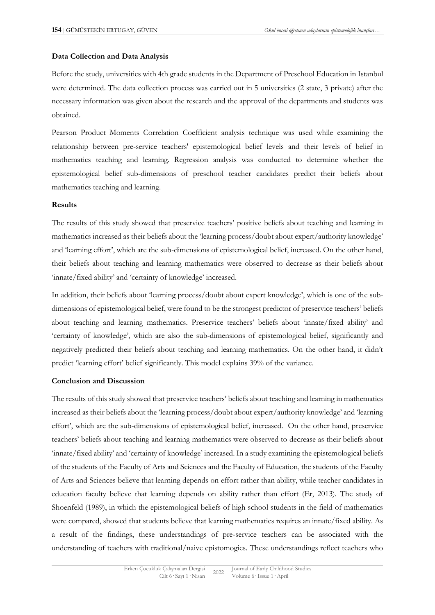### **Data Collection and Data Analysis**

Before the study, universities with 4th grade students in the Department of Preschool Education in Istanbul were determined. The data collection process was carried out in 5 universities (2 state, 3 private) after the necessary information was given about the research and the approval of the departments and students was obtained.

Pearson Product Moments Correlation Coefficient analysis technique was used while examining the relationship between pre-service teachers' epistemological belief levels and their levels of belief in mathematics teaching and learning. Regression analysis was conducted to determine whether the epistemological belief sub-dimensions of preschool teacher candidates predict their beliefs about mathematics teaching and learning.

### **Results**

The results of this study showed that preservice teachers' positive beliefs about teaching and learning in mathematics increased as their beliefs about the 'learning process/doubt about expert/authority knowledge' and 'learning effort', which are the sub-dimensions of epistemological belief, increased. On the other hand, their beliefs about teaching and learning mathematics were observed to decrease as their beliefs about 'innate/fixed ability' and 'certainty of knowledge' increased.

In addition, their beliefs about 'learning process/doubt about expert knowledge', which is one of the subdimensions of epistemological belief, were found to be the strongest predictor of preservice teachers' beliefs about teaching and learning mathematics. Preservice teachers' beliefs about 'innate/fixed ability' and 'certainty of knowledge', which are also the sub-dimensions of epistemological belief, significantly and negatively predicted their beliefs about teaching and learning mathematics. On the other hand, it didn't predict 'learning effort' belief significantly. This model explains 39% of the variance.

### **Conclusion and Discussion**

The results of this study showed that preservice teachers' beliefs about teaching and learning in mathematics increased as their beliefs about the 'learning process/doubt about expert/authority knowledge' and 'learning effort', which are the sub-dimensions of epistemological belief, increased. On the other hand, preservice teachers' beliefs about teaching and learning mathematics were observed to decrease as their beliefs about 'innate/fixed ability' and 'certainty of knowledge' increased. In a study examining the epistemological beliefs of the students of the Faculty of Arts and Sciences and the Faculty of Education, the students of the Faculty of Arts and Sciences believe that learning depends on effort rather than ability, while teacher candidates in education faculty believe that learning depends on ability rather than effort (Er, 2013). The study of Shoenfeld (1989), in which the epistemological beliefs of high school students in the field of mathematics were compared, showed that students believe that learning mathematics requires an innate/fixed ability. As a result of the findings, these understandings of pre-service teachers can be associated with the understanding of teachers with traditional/naive epistomogies. These understandings reflect teachers who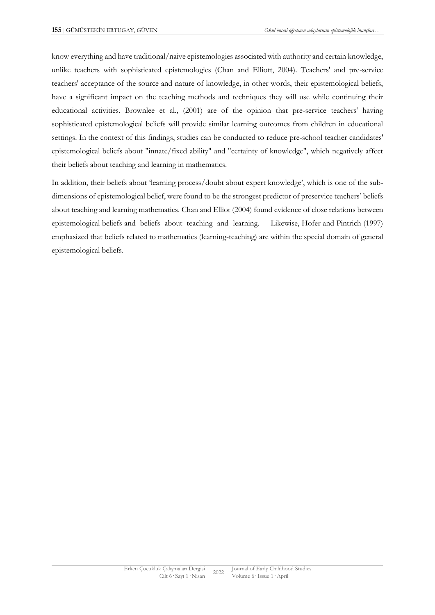know everything and have traditional/naive epistemologies associated with authority and certain knowledge, unlike teachers with sophisticated epistemologies (Chan and Elliott, 2004). Teachers' and pre-service teachers' acceptance of the source and nature of knowledge, in other words, their epistemological beliefs, have a significant impact on the teaching methods and techniques they will use while continuing their educational activities. Brownlee et al., (2001) are of the opinion that pre-service teachers' having sophisticated epistemological beliefs will provide similar learning outcomes from children in educational settings. In the context of this findings, studies can be conducted to reduce pre-school teacher candidates' epistemological beliefs about "innate/fixed ability" and "certainty of knowledge", which negatively affect their beliefs about teaching and learning in mathematics.

In addition, their beliefs about 'learning process/doubt about expert knowledge', which is one of the subdimensions of epistemological belief, were found to be the strongest predictor of preservice teachers' beliefs about teaching and learning mathematics. Chan and Elliot (2004) found evidence of close relations between epistemological beliefs and beliefs about teaching and learning. Likewise, Hofer and Pintrich (1997) emphasized that beliefs related to mathematics (learning-teaching) are within the special domain of general epistemological beliefs.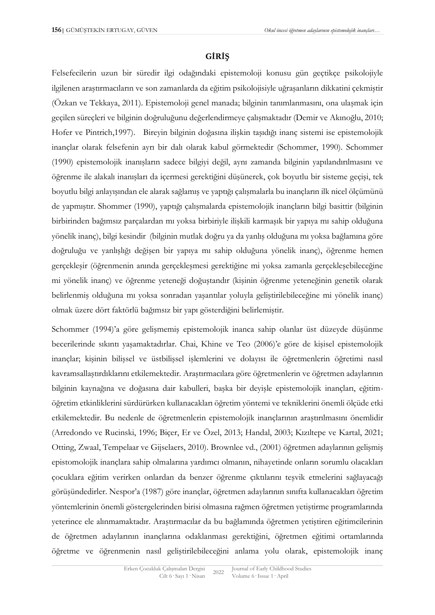# **GİRİŞ**

Felsefecilerin uzun bir süredir ilgi odağındaki epistemoloji konusu gün geçtikçe psikolojiyle ilgilenen araştırmacıların ve son zamanlarda da eğitim psikolojisiyle uğraşanların dikkatini çekmiştir (Özkan ve Tekkaya, 2011). Epistemoloji genel manada; bilginin tanımlanmasını, ona ulaşmak için geçilen süreçleri ve bilginin doğruluğunu değerlendirmeye çalışmaktadır (Demir ve Akınoğlu, 2010; Hofer ve Pintrich,1997). Bireyin bilginin doğasına ilişkin taşıdığı inanç sistemi ise epistemolojik inançlar olarak felsefenin ayrı bir dalı olarak kabul görmektedir (Schommer, 1990). Schommer (1990) epistemolojik inanışların sadece bilgiyi değil, aynı zamanda bilginin yapılandırılmasını ve öğrenme ile alakalı inanışları da içermesi gerektiğini düşünerek, çok boyutlu bir sisteme geçişi, tek boyutlu bilgi anlayışından ele alarak sağlamış ve yaptığı çalışmalarla bu inançların ilk nicel ölçümünü de yapmıştır. Shommer (1990), yaptığı çalışmalarda epistemolojik inançların bilgi basittir (bilginin birbirinden bağımsız parçalardan mı yoksa birbiriyle ilişkili karmaşık bir yapıya mı sahip olduğuna yönelik inanç), bilgi kesindir (bilginin mutlak doğru ya da yanlış olduğuna mı yoksa bağlamına göre doğruluğu ve yanlışlığı değişen bir yapıya mı sahip olduğuna yönelik inanç), öğrenme hemen gerçekleşir (öğrenmenin anında gerçekleşmesi gerektiğine mi yoksa zamanla gerçekleşebileceğine mi yönelik inanç) ve öğrenme yeteneği doğuştandır (kişinin öğrenme yeteneğinin genetik olarak belirlenmiş olduğuna mı yoksa sonradan yaşantılar yoluyla geliştirilebileceğine mi yönelik inanç) olmak üzere dört faktörlü bağımsız bir yapı gösterdiğini belirlemiştir.

Schommer (1994)'a göre gelişmemiş epistemolojik inanca sahip olanlar üst düzeyde düşünme becerilerinde sıkıntı yaşamaktadırlar. Chai, Khine ve Teo (2006)'e göre de kişisel epistemolojik inançlar; kişinin bilişsel ve üstbilişsel işlemlerini ve dolayısı ile öğretmenlerin öğretimi nasıl kavramsallaştırdıklarını etkilemektedir. Araştırmacılara göre öğretmenlerin ve öğretmen adaylarının bilginin kaynağına ve doğasına dair kabulleri, başka bir deyişle epistemolojik inançları, eğitimöğretim etkinliklerini sürdürürken kullanacakları öğretim yöntemi ve tekniklerini önemli ölçüde etki etkilemektedir. Bu nedenle de öğretmenlerin epistemolojik inançlarının araştırılmasını önemlidir (Arredondo ve Rucinski, 1996; Biçer, Er ve Özel, 2013; Handal, 2003; Kızıltepe ve Kartal, 2021; Otting, Zwaal, Tempelaar ve Gijselaers, 2010). Brownlee vd., (2001) öğretmen adaylarının gelişmiş epistomolojik inançlara sahip olmalarına yardımcı olmanın, nihayetinde onların sorumlu olacakları çocuklara eğitim verirken onlardan da benzer öğrenme çıktılarını teşvik etmelerini sağlayacağı görüşündedirler. Nespor'a (1987) göre inançlar, öğretmen adaylarının sınıfta kullanacakları öğretim yöntemlerinin önemli göstergelerinden birisi olmasına rağmen öğretmen yetiştirme programlarında yeterince ele alınmamaktadır. Araştırmacılar da bu bağlamında öğretmen yetiştiren eğitimcilerinin de öğretmen adaylarının inançlarına odaklanması gerektiğini, öğretmen eğitimi ortamlarında öğretme ve öğrenmenin nasıl geliştirilebileceğini anlama yolu olarak, epistemolojik inanç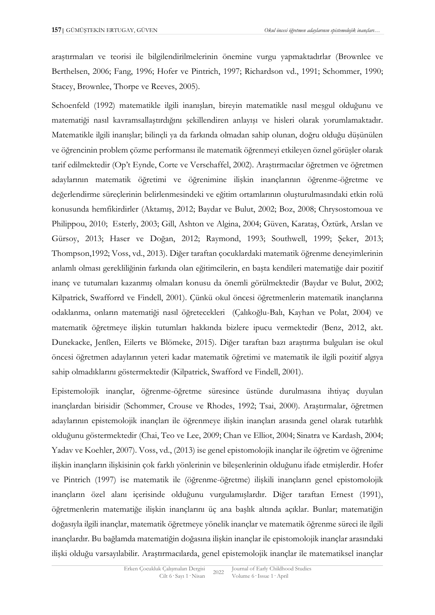araştırmaları ve teorisi ile bilgilendirilmelerinin önemine vurgu yapmaktadırlar (Brownlee ve Berthelsen, 2006; Fang, 1996; Hofer ve Pintrich, 1997; Richardson vd., 1991; Schommer, 1990; Stacey, Brownlee, Thorpe ve Reeves, 2005).

Schoenfeld (1992) matematikle ilgili inanışları, bireyin matematikle nasıl meşgul olduğunu ve matematiği nasıl kavramsallaştırdığını şekillendiren anlayışı ve hisleri olarak yorumlamaktadır. Matematikle ilgili inanışlar; bilinçli ya da farkında olmadan sahip olunan, doğru olduğu düşünülen ve öğrencinin problem çözme performansı ile matematik öğrenmeyi etkileyen öznel görüşler olarak tarif edilmektedir (Op't Eynde, Corte ve Verschaffel, 2002). Araştırmacılar öğretmen ve öğretmen adaylarının matematik öğretimi ve öğrenimine ilişkin inançlarının öğrenme-öğretme ve değerlendirme süreçlerinin belirlenmesindeki ve eğitim ortamlarının oluşturulmasındaki etkin rolü konusunda hemfikirdirler (Aktamış, 2012; Baydar ve Bulut, 2002; Boz, 2008; Chrysostomoua ve Philippou, 2010; Esterly, 2003; Gill, Ashton ve Algina, 2004; Güven, Karataş, Öztürk, Arslan ve Gürsoy, 2013; Haser ve Doğan, 2012; Raymond, 1993; Southwell, 1999; Şeker, 2013; Thompson,1992; Voss, vd., 2013). Diğer taraftan çocuklardaki matematik öğrenme deneyimlerinin anlamlı olması gerekliliğinin farkında olan eğitimcilerin, en başta kendileri matematiğe dair pozitif inanç ve tutumaları kazanmış olmaları konusu da önemli görülmektedir (Baydar ve Bulut, 2002; Kilpatrick, Swafforrd ve Findell, 2001). Çünkü okul öncesi öğretmenlerin matematik inançlarına odaklanma, onların matematiği nasıl öğretecekleri (Çalıkoğlu-Balı, Kayhan ve Polat, 2004) ve matematik öğretmeye ilişkin tutumları hakkında bizlere ipucu vermektedir (Benz, 2012, akt. Dunekacke, Jenßen, Eilerts ve Blömeke, 2015). Diğer taraftan bazı araştırma bulguları ise okul öncesi öğretmen adaylarının yeteri kadar matematik öğretimi ve matematik ile ilgili pozitif algıya sahip olmadıklarını göstermektedir (Kilpatrick, Swafford ve Findell, 2001).

Epistemolojik inançlar, öğrenme-öğretme süresince üstünde durulmasına ihtiyaç duyulan inançlardan birisidir (Schommer, Crouse ve Rhodes, 1992; Tsai, 2000). Araştırmalar, öğretmen adaylarının epistemolojik inançları ile öğrenmeye ilişkin inançları arasında genel olarak tutarlılık olduğunu göstermektedir (Chai, Teo ve Lee, 2009; Chan ve Elliot, 2004; Sinatra ve Kardash, 2004; Yadav ve Koehler, 2007). Voss, vd., (2013) ise genel epistomolojik inançlar ile öğretim ve öğrenime ilişkin inançların ilişkisinin çok farklı yönlerinin ve bileşenlerinin olduğunu ifade etmişlerdir. Hofer ve Pintrich (1997) ise matematik ile (öğrenme-öğretme) ilişkili inançların genel epistomolojik inançların özel alanı içerisinde olduğunu vurgulamışlardır. Diğer taraftan Ernest (1991), öğretmenlerin matematiğe ilişkin inançlarını üç ana başlık altında açıklar. Bunlar; matematiğin doğasıyla ilgili inançlar, matematik öğretmeye yönelik inançlar ve matematik öğrenme süreci ile ilgili inançlardır. Bu bağlamda matematiğin doğasına ilişkin inançlar ile epistomolojik inançlar arasındaki ilişki olduğu varsayılabilir. Araştırmacılarda, genel epistemolojik inançlar ile matematiksel inançlar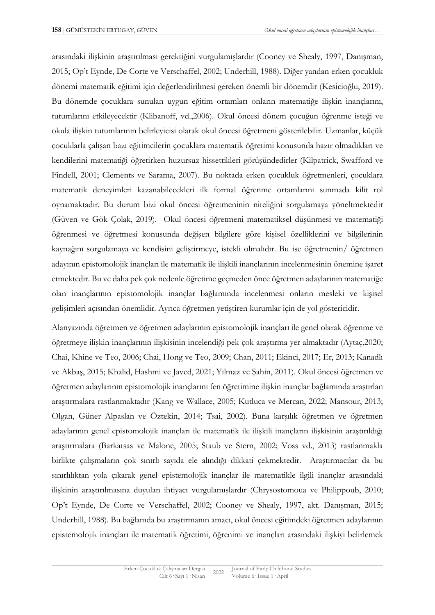arasındaki ilişkinin araştırılması gerektiğini vurgulamışlardır (Cooney ve Shealy, 1997, Danışman, 2015; Op't Eynde, De Corte ve Verschaffel, 2002; Underhill, 1988). Diğer yandan erken çocukluk dönemi matematik eğitimi için değerlendirilmesi gereken önemli bir dönemdir (Kesicioğlu, 2019). Bu dönemde çocuklara sunulan uygun eğitim ortamları onların matematiğe ilişkin inançlarını, tutumlarını etkileyecektir (Klibanoff, vd.,2006). Okul öncesi dönem çocuğun öğrenme isteği ve okula ilişkin tutumlarının belirleyicisi olarak okul öncesi öğretmeni gösterilebilir. Uzmanlar, küçük çocuklarla çalışan bazı eğitimcilerin çocuklara matematik öğretimi konusunda hazır olmadıkları ve kendilerini matematiği öğretirken huzursuz hissettikleri görüşündedirler (Kilpatrick, Swafford ve Findell, 2001; Clements ve Sarama, 2007). Bu noktada erken çocukluk öğretmenleri, çocuklara matematik deneyimleri kazanabilecekleri ilk formal öğrenme ortamlarını sunmada kilit rol oynamaktadır. Bu durum bizi okul öncesi öğretmeninin niteliğini sorgulamaya yöneltmektedir (Güven ve Gök Çolak, 2019). Okul öncesi öğretmeni matematiksel düşünmesi ve matematiği öğrenmesi ve öğretmesi konusunda değişen bilgilere göre kişisel özelliklerini ve bilgilerinin kaynağını sorgulamaya ve kendisini geliştirmeye, istekli olmalıdır. Bu ise öğretmenin/ öğretmen adayının epistomolojik inançları ile matematik ile ilişkili inançlarının incelenmesinin önemine işaret etmektedir. Bu ve daha pek çok nedenle öğretime geçmeden önce öğretmen adaylarının matematiğe olan inançlarının epistomolojik inançlar bağlamında incelenmesi onların mesleki ve kişisel gelişimleri açısından önemlidir. Ayrıca öğretmen yetiştiren kurumlar için de yol göstericidir.

Alanyazında öğretmen ve öğretmen adaylarının epistomolojik inançları ile genel olarak öğrenme ve öğretmeye ilişkin inançlarının ilişkisinin incelendiği pek çok araştırma yer almaktadır (Aytaç,2020; Chai, Khine ve Teo, 2006; Chai, Hong ve Teo, 2009; Chan, 2011; Ekinci, 2017; Er, 2013; Kanadlı ve Akbaş, 2015; Khalid, Hashmi ve Javed, 2021; Yılmaz ve Şahin, 2011). Okul öncesi öğretmen ve öğretmen adaylarının epistomolojik inançlarını fen öğretimine ilişkin inançlar bağlamında araştırlan araştırmalara rastlanmaktadır (Kang ve Wallace, 2005; Kutluca ve Mercan, 2022; Mansour, 2013; Olgan, Güner Alpaslan ve Öztekin, 2014; Tsai, 2002). Buna karşılık öğretmen ve öğretmen adaylarının genel epistomolojik inançları ile matematik ile ilişkili inançların ilişkisinin araştırıldığı araştırmalara (Barkatsas ve Malone, 2005; Staub ve Stern, 2002; Voss vd., 2013) rastlanmakla birlikte çalışmaların çok sınırlı sayıda ele alındığı dikkati çekmektedir. Araştırmacılar da bu sınırlılıktan yola çıkarak genel epistemolojik inançlar ile matematikle ilgili inançlar arasındaki ilişkinin araştırılmasına duyulan ihtiyacı vurgulamışlardır (Chrysostomoua ve Philippoub, 2010; Op't Eynde, De Corte ve Verschaffel, 2002; Cooney ve Shealy, 1997, akt. Danışman, 2015; Underhill, 1988). Bu bağlamda bu araştırmanın amacı, okul öncesi eğitimdeki öğretmen adaylarının epistemolojik inançları ile matematik öğretimi, öğrenimi ve inançları arasındaki ilişkiyi belirlemek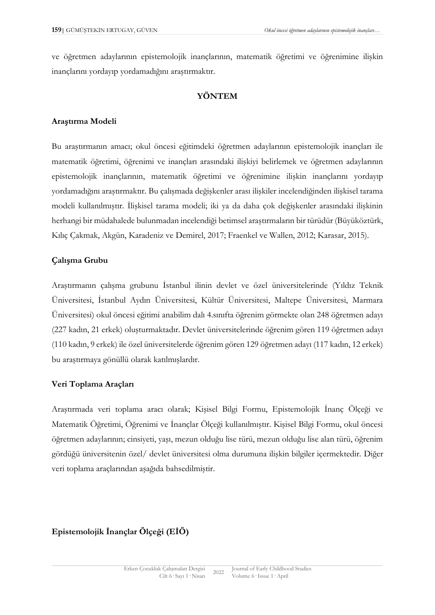ve öğretmen adaylarının epistemolojik inançlarının, matematik öğretimi ve öğrenimine ilişkin inançlarını yordayıp yordamadığını araştırmaktır.

## **YÖNTEM**

## **Araştırma Modeli**

Bu araştırmanın amacı; okul öncesi eğitimdeki öğretmen adaylarının epistemolojik inançları ile matematik öğretimi, öğrenimi ve inançları arasındaki ilişkiyi belirlemek ve öğretmen adaylarının epistemolojik inançlarının, matematik öğretimi ve öğrenimine ilişkin inançlarını yordayıp yordamadığını araştırmaktır. Bu çalışmada değişkenler arası ilişkiler incelendiğinden ilişkisel tarama modeli kullanılmıştır. İlişkisel tarama modeli; iki ya da daha çok değişkenler arasındaki ilişkinin herhangi bir müdahalede bulunmadan incelendiği betimsel araştırmaların bir türüdür (Büyüköztürk, Kılıç Çakmak, Akgün, Karadeniz ve Demirel, 2017; Fraenkel ve Wallen, 2012; Karasar, 2015).

## **Çalışma Grubu**

Araştırmanın çalışma grubunu İstanbul ilinin devlet ve özel üniversitelerinde (Yıldız Teknik Üniversitesi, İstanbul Aydın Üniversitesi, Kültür Üniversitesi, Maltepe Üniversitesi, Marmara Üniversitesi) okul öncesi eğitimi anabilim dalı 4.sınıfta öğrenim görmekte olan 248 öğretmen adayı (227 kadın, 21 erkek) oluşturmaktadır. Devlet üniversitelerinde öğrenim gören 119 öğretmen adayı (110 kadın, 9 erkek) ile özel üniversitelerde öğrenim gören 129 öğretmen adayı (117 kadın, 12 erkek) bu araştırmaya gönüllü olarak katılmışlardır.

## **Veri Toplama Araçları**

Araştırmada veri toplama aracı olarak; Kişisel Bilgi Formu, Epistemolojik İnanç Ölçeği ve Matematik Öğretimi, Öğrenimi ve İnançlar Ölçeği kullanılmıştır. Kişisel Bilgi Formu, okul öncesi öğretmen adaylarının; cinsiyeti, yaşı, mezun olduğu lise türü, mezun olduğu lise alan türü, öğrenim gördüğü üniversitenin özel/ devlet üniversitesi olma durumuna ilişkin bilgiler içermektedir. Diğer veri toplama araçlarından aşağıda bahsedilmiştir.

# **Epistemolojik İnançlar Ölçeği (EİÖ)**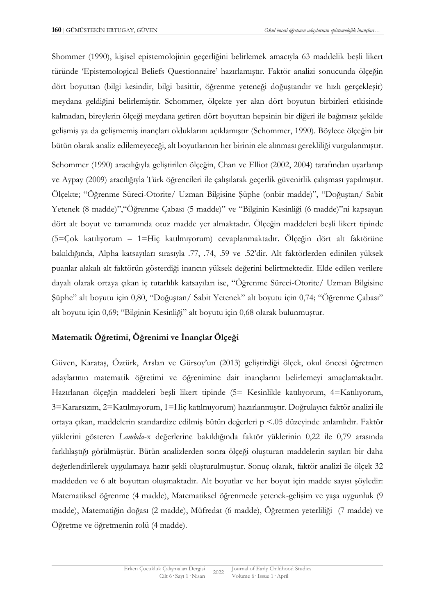Shommer (1990), kişisel epistemolojinin geçerliğini belirlemek amacıyla 63 maddelik beşli likert türünde 'Epistemological Beliefs Questionnaire' hazırlamıştır. Faktör analizi sonucunda ölçeğin dört boyuttan (bilgi kesindir, bilgi basittir, öğrenme yeteneği doğuştandır ve hızlı gerçekleşir) meydana geldiğini belirlemiştir. Schommer, ölçekte yer alan dört boyutun birbirleri etkisinde kalmadan, bireylerin ölçeği meydana getiren dört boyuttan hepsinin bir diğeri ile bağımsız şekilde gelişmiş ya da gelişmemiş inançları olduklarını açıklamıştır (Schommer, 1990). Böylece ölçeğin bir bütün olarak analiz edilemeyeceği, alt boyutlarının her birinin ele alınması gerekliliği vurgulanmıştır.

Schommer (1990) aracılığıyla geliştirilen ölçeğin, Chan ve Elliot (2002, 2004) tarafından uyarlanıp ve Aypay (2009) aracılığıyla Türk öğrencileri ile çalışılarak geçerlik güvenirlik çalışması yapılmıştır. Ölçekte; "Öğrenme Süreci-Otorite/ Uzman Bilgisine Şüphe (onbir madde)", "Doğuştan/ Sabit Yetenek (8 madde)","Öğrenme Çabası (5 madde)" ve "Bilginin Kesinliği (6 madde)"ni kapsayan dört alt boyut ve tamamında otuz madde yer almaktadır. Ölçeğin maddeleri beşli likert tipinde (5=Çok katılıyorum – 1=Hiç katılmıyorum) cevaplanmaktadır. Ölçeğin dört alt faktörüne bakıldığında, Alpha katsayıları sırasıyla .77, .74, .59 ve .52'dir. Alt faktörlerden edinilen yüksek puanlar alakalı alt faktörün gösterdiği inancın yüksek değerini belirtmektedir. Elde edilen verilere dayalı olarak ortaya çıkan iç tutarlılık katsayıları ise, "Öğrenme Süreci-Otorite/ Uzman Bilgisine Şüphe" alt boyutu için 0,80, "Doğuştan/ Sabit Yetenek" alt boyutu için 0,74; "Öğrenme Çabası" alt boyutu için 0,69; "Bilginin Kesinliği" alt boyutu için 0,68 olarak bulunmuştur.

# **Matematik Öğretimi, Öğrenimi ve İnançlar Ölçeği**

Güven, Karataş, Öztürk, Arslan ve Gürsoy'un (2013) geliştirdiği ölçek, okul öncesi öğretmen adaylarının matematik öğretimi ve öğrenimine dair inançlarını belirlemeyi amaçlamaktadır. Hazırlanan ölçeğin maddeleri beşli likert tipinde (5= Kesinlikle katılıyorum, 4=Katılıyorum, 3=Kararsızım, 2=Katılmıyorum, 1=Hiç katılmıyorum) hazırlanmıştır. Doğrulayıcı faktör analizi ile ortaya çıkan, maddelerin standardize edilmiş bütün değerleri p <.05 düzeyinde anlamlıdır. Faktör yüklerini gösteren *Lambda*-x değerlerine bakıldığında faktör yüklerinin 0,22 ile 0,79 arasında farklılaştığı görülmüştür. Bütün analizlerden sonra ölçeği oluşturan maddelerin sayıları bir daha değerlendirilerek uygulamaya hazır şekli oluşturulmuştur. Sonuç olarak, faktör analizi ile ölçek 32 maddeden ve 6 alt boyuttan oluşmaktadır. Alt boyutlar ve her boyut için madde sayısı şöyledir: Matematiksel öğrenme (4 madde), Matematiksel öğrenmede yetenek-gelişim ve yaşa uygunluk (9 madde), Matematiğin doğası (2 madde), Müfredat (6 madde), Öğretmen yeterliliği (7 madde) ve Öğretme ve öğretmenin rolü (4 madde).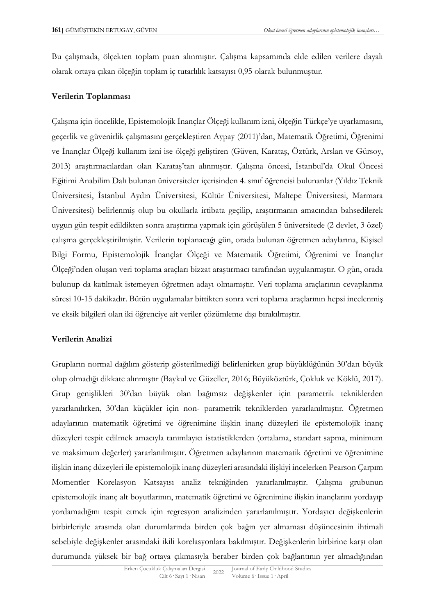Bu çalışmada, ölçekten toplam puan alınmıştır. Çalışma kapsamında elde edilen verilere dayalı olarak ortaya çıkan ölçeğin toplam iç tutarlılık katsayısı 0,95 olarak bulunmuştur.

# **Verilerin Toplanması**

Çalışma için öncelikle, Epistemolojik İnançlar Ölçeği kullanım izni, ölçeğin Türkçe'ye uyarlamasını, geçerlik ve güvenirlik çalışmasını gerçekleştiren Aypay (2011)'dan, Matematik Öğretimi, Öğrenimi ve İnançlar Ölçeği kullanım izni ise ölçeği geliştiren (Güven, Karataş, Öztürk, Arslan ve Gürsoy, 2013) araştırmacılardan olan Karataş'tan alınmıştır. Çalışma öncesi, İstanbul'da Okul Öncesi Eğitimi Anabilim Dalı bulunan üniversiteler içerisinden 4. sınıf öğrencisi bulunanlar (Yıldız Teknik Üniversitesi, İstanbul Aydın Üniversitesi, Kültür Üniversitesi, Maltepe Üniversitesi, Marmara Üniversitesi) belirlenmiş olup bu okullarla irtibata geçilip, araştırmanın amacından bahsedilerek uygun gün tespit edildikten sonra araştırma yapmak için görüşülen 5 üniversitede (2 devlet, 3 özel) çalışma gerçekleştirilmiştir. Verilerin toplanacağı gün, orada bulunan öğretmen adaylarına, Kişisel Bilgi Formu, Epistemolojik İnançlar Ölçeği ve Matematik Öğretimi, Öğrenimi ve İnançlar Ölçeği'nden oluşan veri toplama araçları bizzat araştırmacı tarafından uygulanmıştır. O gün, orada bulunup da katılmak istemeyen öğretmen adayı olmamıştır. Veri toplama araçlarının cevaplanma süresi 10-15 dakikadır. Bütün uygulamalar bittikten sonra veri toplama araçlarının hepsi incelenmiş ve eksik bilgileri olan iki öğrenciye ait veriler çözümleme dışı bırakılmıştır.

# **Verilerin Analizi**

Grupların normal dağılım gösterip gösterilmediği belirlenirken grup büyüklüğünün 30'dan büyük olup olmadığı dikkate alınmıştır (Baykul ve Güzeller, 2016; Büyüköztürk, Çokluk ve Köklü, 2017). Grup genişlikleri 30'dan büyük olan bağımsız değişkenler için parametrik tekniklerden yararlanılırken, 30'dan küçükler için non- parametrik tekniklerden yararlanılmıştır. Öğretmen adaylarının matematik öğretimi ve öğrenimine ilişkin inanç düzeyleri ile epistemolojik inanç düzeyleri tespit edilmek amacıyla tanımlayıcı istatistiklerden (ortalama, standart sapma, minimum ve maksimum değerler) yararlanılmıştır. Öğretmen adaylarının matematik öğretimi ve öğrenimine ilişkin inanç düzeyleri ile epistemolojik inanç düzeyleri arasındaki ilişkiyi incelerken Pearson Çarpım Momentler Korelasyon Katsayısı analiz tekniğinden yararlanılmıştır. Çalışma grubunun epistemolojik inanç alt boyutlarının, matematik öğretimi ve öğrenimine ilişkin inançlarını yordayıp yordamadığını tespit etmek için regresyon analizinden yararlanılmıştır. Yordayıcı değişkenlerin birbirleriyle arasında olan durumlarında birden çok bağın yer almaması düşüncesinin ihtimali sebebiyle değişkenler arasındaki ikili korelasyonlara bakılmıştır. Değişkenlerin birbirine karşı olan durumunda yüksek bir bağ ortaya çıkmasıyla beraber birden çok bağlantının yer almadığından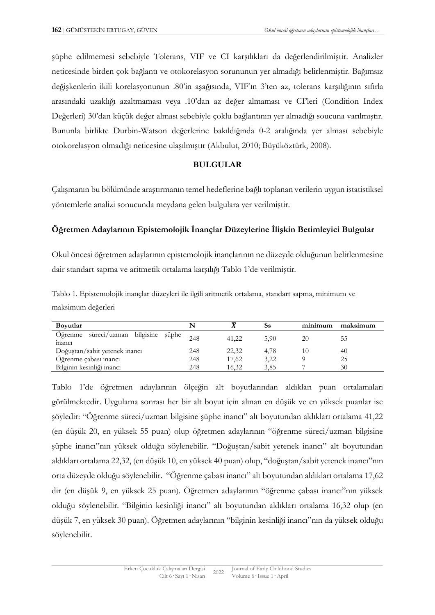şüphe edilmemesi sebebiyle Tolerans, VIF ve CI karşılıkları da değerlendirilmiştir. Analizler neticesinde birden çok bağlantı ve otokorelasyon sorununun yer almadığı belirlenmiştir. Bağımsız değişkenlerin ikili korelasyonunun .80'in aşağısında, VIF'ın 3'ten az, tolerans karşılığının sıfırla arasındaki uzaklığı azaltmaması veya .10'dan az değer almaması ve CI'leri (Condition Index Değerleri) 30'dan küçük değer alması sebebiyle çoklu bağlantının yer almadığı soucuna varılmıştır. Bununla birlikte Durbin-Watson değerlerine bakıldığında 0-2 aralığında yer alması sebebiyle otokorelasyon olmadığı neticesine ulaşılmıştır (Akbulut, 2010; Büyüköztürk, 2008).

### **BULGULAR**

Çalışmanın bu bölümünde araştırmanın temel hedeflerine bağlı toplanan verilerin uygun istatistiksel yöntemlerle analizi sonucunda meydana gelen bulgulara yer verilmiştir.

# **Öğretmen Adaylarının Epistemolojik İnançlar Düzeylerine İlişkin Betimleyici Bulgular**

Okul öncesi öğretmen adaylarının epistemolojik inançlarının ne düzeyde olduğunun belirlenmesine dair standart sapma ve aritmetik ortalama karşılığı Tablo 1'de verilmiştir.

| Tablo 1. Epistemolojik inançlar düzeyleri ile ilgili aritmetik ortalama, standart sapma, minimum ve |  |  |  |  |
|-----------------------------------------------------------------------------------------------------|--|--|--|--|
| maksimum değerleri                                                                                  |  |  |  |  |

| <b>Boyutlar</b>                                |     |       | Ss   | minimum | maksimum |
|------------------------------------------------|-----|-------|------|---------|----------|
| Öğrenme süreci/uzman bilgisine şüphe<br>inanci | 248 | 41.22 | 5.90 | 20      | ככ       |
| Doğuştan/sabit yetenek inancı                  | 248 | 22,32 | 4.78 |         | 40       |
| Öğrenme çabası inancı                          | 248 | 17,62 | 3,22 |         | 25       |
| Bilginin kesinliği inancı                      | 248 | 16,32 | 3.85 |         | 30       |

Tablo 1'de öğretmen adaylarının ölçeğin alt boyutlarından aldıkları puan ortalamaları görülmektedir. Uygulama sonrası her bir alt boyut için alınan en düşük ve en yüksek puanlar ise şöyledir: "Öğrenme süreci/uzman bilgisine şüphe inancı" alt boyutundan aldıkları ortalama 41,22 (en düşük 20, en yüksek 55 puan) olup öğretmen adaylarının "öğrenme süreci/uzman bilgisine şüphe inancı"nın yüksek olduğu söylenebilir. "Doğuştan/sabit yetenek inancı" alt boyutundan aldıkları ortalama 22,32, (en düşük 10, en yüksek 40 puan) olup, "doğuştan/sabit yetenek inancı"nın orta düzeyde olduğu söylenebilir. "Öğrenme çabası inancı" alt boyutundan aldıkları ortalama 17,62 dir (en düşük 9, en yüksek 25 puan). Öğretmen adaylarının "öğrenme çabası inancı"nın yüksek olduğu söylenebilir. "Bilginin kesinliği inancı" alt boyutundan aldıkları ortalama 16,32 olup (en düşük 7, en yüksek 30 puan). Öğretmen adaylarının "bilginin kesinliği inancı"nın da yüksek olduğu söylenebilir.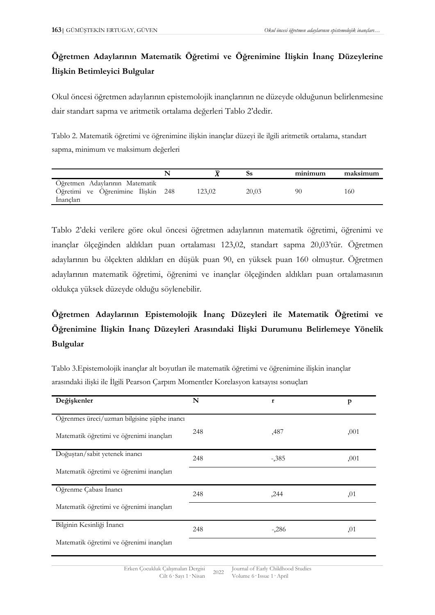# **Öğretmen Adaylarının Matematik Öğretimi ve Öğrenimine İlişkin İnanç Düzeylerine İlişkin Betimleyici Bulgular**

Okul öncesi öğretmen adaylarının epistemolojik inançlarının ne düzeyde olduğunun belirlenmesine dair standart sapma ve aritmetik ortalama değerleri Tablo 2'dedir.

Tablo 2. Matematik öğretimi ve öğrenimine ilişkin inançlar düzeyi ile ilgili aritmetik ortalama, standart sapma, minimum ve maksimum değerleri

|                                                                                   |        |       | minimum | maksimum |
|-----------------------------------------------------------------------------------|--------|-------|---------|----------|
| Öğretmen Adaylarının Matematik<br>Öğretimi ve Öğrenimine İlişkin 248<br>Inancları | 123.02 | 20,03 | 90      | 160      |

Tablo 2'deki verilere göre okul öncesi öğretmen adaylarının matematik öğretimi, öğrenimi ve inançlar ölçeğinden aldıkları puan ortalaması 123,02, standart sapma 20,03'tür. Öğretmen adaylarının bu ölçekten aldıkları en düşük puan 90, en yüksek puan 160 olmuştur. Öğretmen adaylarının matematik öğretimi, öğrenimi ve inançlar ölçeğinden aldıkları puan ortalamasının oldukça yüksek düzeyde olduğu söylenebilir.

# **Öğretmen Adaylarının Epistemolojik İnanç Düzeyleri ile Matematik Öğretimi ve Öğrenimine İlişkin İnanç Düzeyleri Arasındaki İlişki Durumunu Belirlemeye Yönelik Bulgular**

Tablo 3.Epistemolojik inançlar alt boyutları ile matematik öğretimi ve öğrenimine ilişkin inançlar arasındaki ilişki ile İlgili Pearson Çarpım Momentler Korelasyon katsayısı sonuçları

| Değişkenler                                 | N   | $\mathbf{r}$ | $\mathbf{p}$ |
|---------------------------------------------|-----|--------------|--------------|
|                                             |     |              |              |
| Öğrenmes üreci/uzman bilgisine şüphe inancı |     |              |              |
| Matematik öğretimi ve öğrenimi inançları    | 248 | ,487         | ,001         |
| Doğuştan/sabit yetenek inancı               | 248 | $-385$       | ,001         |
| Matematik öğretimi ve öğrenimi inançları    |     |              |              |
| Öğrenme Çabası İnancı                       | 248 | ,244         | ,01          |
| Matematik öğretimi ve öğrenimi inançları    |     |              |              |
| Bilginin Kesinliği İnancı                   | 248 | $-286$       | ,01          |
| Matematik öğretimi ve öğrenimi inançları    |     |              |              |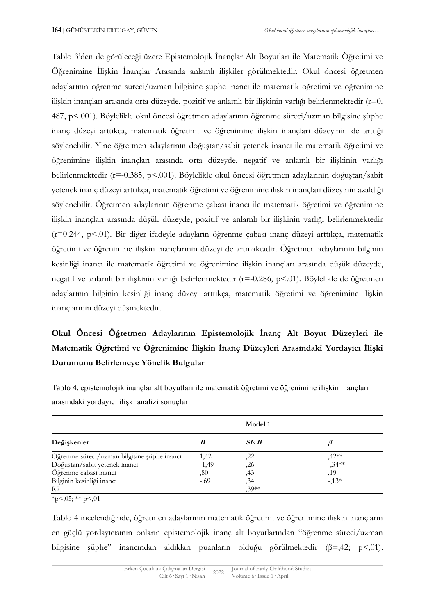Tablo 3'den de görüleceği üzere Epistemolojik İnançlar Alt Boyutları ile Matematik Öğretimi ve Öğrenimine İlişkin İnançlar Arasında anlamlı ilişkiler görülmektedir. Okul öncesi öğretmen adaylarının öğrenme süreci/uzman bilgisine şüphe inancı ile matematik öğretimi ve öğrenimine ilişkin inançları arasında orta düzeyde, pozitif ve anlamlı bir ilişkinin varlığı belirlenmektedir (r=0. 487, p<.001). Böylelikle okul öncesi öğretmen adaylarının öğrenme süreci/uzman bilgisine şüphe inanç düzeyi arttıkça, matematik öğretimi ve öğrenimine ilişkin inançları düzeyinin de arttığı söylenebilir. Yine öğretmen adaylarının doğuştan/sabit yetenek inancı ile matematik öğretimi ve öğrenimine ilişkin inançları arasında orta düzeyde, negatif ve anlamlı bir ilişkinin varlığı belirlenmektedir (r=-0.385, p<.001). Böylelikle okul öncesi öğretmen adaylarının doğuştan/sabit yetenek inanç düzeyi arttıkça, matematik öğretimi ve öğrenimine ilişkin inançları düzeyinin azaldığı söylenebilir. Öğretmen adaylarının öğrenme çabası inancı ile matematik öğretimi ve öğrenimine ilişkin inançları arasında düşük düzeyde, pozitif ve anlamlı bir ilişkinin varlığı belirlenmektedir (r=0.244, p<.01). Bir diğer ifadeyle adayların öğrenme çabası inanç düzeyi arttıkça, matematik öğretimi ve öğrenimine ilişkin inançlarının düzeyi de artmaktadır. Öğretmen adaylarının bilginin kesinliği inancı ile matematik öğretimi ve öğrenimine ilişkin inançları arasında düşük düzeyde, negatif ve anlamlı bir ilişkinin varlığı belirlenmektedir (r=-0.286, p<.01). Böylelikle de öğretmen adaylarının bilginin kesinliği inanç düzeyi arttıkça, matematik öğretimi ve öğrenimine ilişkin inançlarının düzeyi düşmektedir.

# **Okul Öncesi Öğretmen Adaylarının Epistemolojik İnanç Alt Boyut Düzeyleri ile Matematik Öğretimi ve Öğrenimine İlişkin İnanç Düzeyleri Arasındaki Yordayıcı İlişki Durumunu Belirlemeye Yönelik Bulgular**

|                                             |         | Model 1 |                      |
|---------------------------------------------|---------|---------|----------------------|
| Değişkenler                                 |         | SE B    |                      |
| Öğrenme süreci/uzman bilgisine şüphe inancı | 1,42    | ,22     |                      |
| Doğuştan/sabit yetenek inancı               | $-1,49$ | ,26     | $,42**$<br>$-0.34**$ |
| Öğrenme çabası inancı                       | ,80     | ,43     | ,19                  |
| Bilginin kesinliği inancı                   | $-0.69$ | , 34    | $-13*$               |
| R <sub>2</sub>                              |         | $30**$  |                      |

Tablo 4. epistemolojik inançlar alt boyutları ile matematik öğretimi ve öğrenimine ilişkin inançları arasındaki yordayıcı ilişki analizi sonuçları

 $\overline{*}_{p \leq 0.05;}$  \*\* p $\leq 0.01$ 

Tablo 4 incelendiğinde, öğretmen adaylarının matematik öğretimi ve öğrenimine ilişkin inançların en güçlü yordayıcısının onların epistemolojik inanç alt boyutlarından "öğrenme süreci/uzman bilgisine şüphe" inancından aldıkları puanların olduğu görülmektedir (β=,42; p<,01).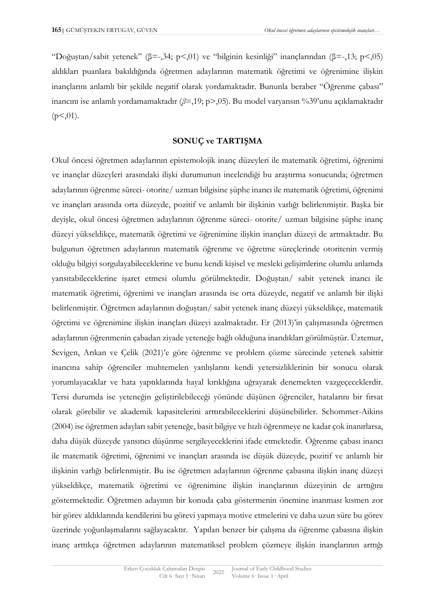"Doğuştan/sabit yetenek" (β=-,34; p<,01) ve "bilginin kesinliği" inançlarından (β=-,13; p<,05) aldıkları puanlara bakıldığında öğretmen adaylarının matematik öğretimi ve öğrenimine ilişkin inançlarını anlamlı bir şekilde negatif olarak yordamaktadır. Bununla beraber "Öğrenme çabası" inancını ise anlamlı yordamamaktadır (*β*=,19; p>,05). Bu model varyansın %39'unu açıklamaktadır  $(p<0.01)$ .

# **SONUÇ ve TARTIŞMA**

Okul öncesi öğretmen adaylarının epistemolojik inanç düzeyleri ile matematik öğretimi, öğrenimi ve inançlar düzeyleri arasındaki ilişki durumunun incelendiği bu araştırma sonucunda; öğretmen adaylarının öğrenme süreci- otorite/ uzman bilgisine şüphe inancı ile matematik öğretimi, öğrenimi ve inançları arasında orta düzeyde, pozitif ve anlamlı bir ilişkinin varlığı belirlenmiştir. Başka bir deyişle, okul öncesi öğretmen adaylarının öğrenme süreci- otorite/ uzman bilgisine şüphe inanç düzeyi yükseldikçe, matematik öğretimi ve öğrenimine ilişkin inançları düzeyi de artmaktadır. Bu bulgunun öğretmen adaylarının matematik öğrenme ve öğretme süreçlerinde otoritenin vermiş olduğu bilgiyi sorgulayabileceklerine ve bunu kendi kişisel ve mesleki gelişimlerine olumlu anlamda yansıtabileceklerine işaret etmesi olumlu görülmektedir. Doğuştan/ sabit yetenek inancı ile matematik öğretimi, öğrenimi ve inançları arasında ise orta düzeyde, negatif ve anlamlı bir ilişki belirlenmiştir. Öğretmen adaylarının doğuştan/ sabit yetenek inanç düzeyi yükseldikçe, matematik öğretimi ve öğrenimine ilişkin inançları düzeyi azalmaktadır. Er (2013)'in çalışmasında öğretmen adaylarının öğrenmenin çabadan ziyade yeteneğe bağlı olduğuna inandıkları görülmüştür. Üztemur, Sevigen, Arıkan ve Çelik (2021)'e göre öğrenme ve problem çözme sürecinde yetenek sabittir inancına sahip öğrenciler muhtemelen yanlışlarını kendi yetersizliklerinin bir sonucu olarak yorumlayacaklar ve hata yaptıklarında hayal kırıklığına uğrayarak denemekten vazgeçeceklerdir. Tersi durumda ise yeteneğin geliştirilebileceği yönünde düşünen öğrenciler, hatalarını bir fırsat olarak görebilir ve akademik kapasitelerini arttırabileceklerini düşünebilirler. Schommer-Aikins (2004) ise öğretmen adayları sabit yeteneğe, basit bilgiye ve hızlı öğrenmeye ne kadar çok inanırlarsa, daha düşük düzeyde yansıtıcı düşünme sergileyeceklerini ifade etmektedir. Öğrenme çabası inancı ile matematik öğretimi, öğrenimi ve inançları arasında ise düşük düzeyde, pozitif ve anlamlı bir ilişkinin varlığı belirlenmiştir. Bu ise öğretmen adaylarının öğrenme çabasına ilişkin inanç düzeyi yükseldikçe, matematik öğretimi ve öğrenimine ilişkin inançlarının düzeyinin de arttığını göstermektedir. Öğretmen adayının bir konuda çaba göstermenin önemine inanması kısmen zor bir görev aldıklarında kendilerini bu görevi yapmaya motive etmelerini ve daha uzun süre bu görev üzerinde yoğunlaşmalarını sağlayacaktır. Yapılan benzer bir çalışma da öğrenme çabasına ilişkin inanç arttıkça öğretmen adaylarının matematiksel problem çözmeye ilişkin inançlarının arttığı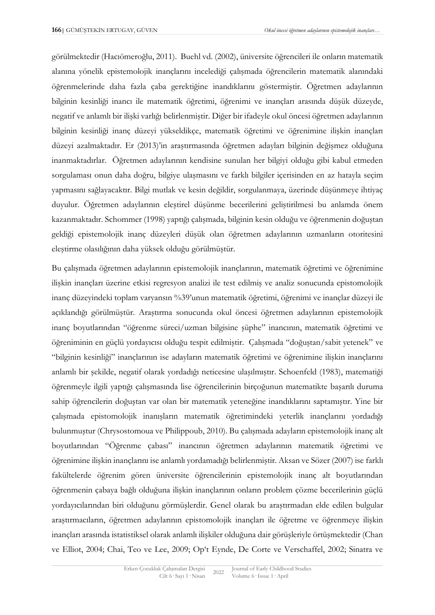görülmektedir (Hacıömeroğlu, 2011). Buehl vd. (2002), üniversite öğrencileri ile onların matematik alanına yönelik epistemolojik inançlarını incelediği çalışmada öğrencilerin matematik alanındaki öğrenmelerinde daha fazla çaba gerektiğine inandıklarını göstermiştir. Öğretmen adaylarının bilginin kesinliği inancı ile matematik öğretimi, öğrenimi ve inançları arasında düşük düzeyde, negatif ve anlamlı bir ilişki varlığı belirlenmiştir. Diğer bir ifadeyle okul öncesi öğretmen adaylarının bilginin kesinliği inanç düzeyi yükseldikçe, matematik öğretimi ve öğrenimine ilişkin inançları düzeyi azalmaktadır. Er (2013)'in araştırmasında öğretmen adayları bilginin değişmez olduğuna inanmaktadırlar. Öğretmen adaylarının kendisine sunulan her bilgiyi olduğu gibi kabul etmeden sorgulaması onun daha doğru, bilgiye ulaşmasını ve farklı bilgiler içerisinden en az hatayla seçim yapmasını sağlayacaktır. Bilgi mutlak ve kesin değildir, sorgulanmaya, üzerinde düşünmeye ihtiyaç duyulur. Öğretmen adaylarının eleştirel düşünme becerilerini geliştirilmesi bu anlamda önem kazanmaktadır. Schommer (1998) yaptığı çalışmada, bilginin kesin olduğu ve öğrenmenin doğuştan geldiği epistemolojik inanç düzeyleri düşük olan öğretmen adaylarının uzmanların otoritesini eleştirme olasılığının daha yüksek olduğu görülmüştür.

Bu çalışmada öğretmen adaylarının epistemolojik inançlarının, matematik öğretimi ve öğrenimine ilişkin inançları üzerine etkisi regresyon analizi ile test edilmiş ve analiz sonucunda epistomolojik inanç düzeyindeki toplam varyansın %39'unun matematik öğretimi, öğrenimi ve inançlar düzeyi ile açıklandığı görülmüştür. Araştırma sonucunda okul öncesi öğretmen adaylarının epistemolojik inanç boyutlarından "öğrenme süreci/uzman bilgisine şüphe" inancının, matematik öğretimi ve öğreniminin en güçlü yordayıcısı olduğu tespit edilmiştir. Çalışmada "doğuştan/sabit yetenek" ve "bilginin kesinliği" inançlarının ise adayların matematik öğretimi ve öğrenimine ilişkin inançlarını anlamlı bir şekilde, negatif olarak yordadığı neticesine ulaşılmıştır. Schoenfeld (1983), matematiği öğrenmeyle ilgili yaptığı çalışmasında lise öğrencilerinin birçoğunun matematikte başarılı duruma sahip öğrencilerin doğuştan var olan bir matematik yeteneğine inandıklarını saptamıştır. Yine bir çalışmada epistomolojik inanışların matematik öğretimindeki yeterlik inançlarını yordadığı bulunmuştur (Chrysostomoua ve Philippoub, 2010). Bu çalışmada adayların epistemolojik inanç alt boyutlarından "Öğrenme çabası" inancının öğretmen adaylarının matematik öğretimi ve öğrenimine ilişkin inançlarını ise anlamlı yordamadığı belirlenmiştir. Aksan ve Sözer (2007) ise farklı fakültelerde öğrenim gören üniversite öğrencilerinin epistemolojik inanç alt boyutlarından öğrenmenin çabaya bağlı olduğuna ilişkin inançlarının onların problem çözme becerilerinin güçlü yordayıcılarından biri olduğunu görmüşlerdir. Genel olarak bu araştırmadan elde edilen bulgular araştırmacıların, öğretmen adaylarının epistomolojik inançları ile öğretme ve öğrenmeye ilişkin inançları arasında istatistiksel olarak anlamlı ilişkiler olduğuna dair görüşleriyle örtüşmektedir (Chan ve Elliot, 2004; Chai, Teo ve Lee, 2009; Op't Eynde, De Corte ve Verschaffel, 2002; Sinatra ve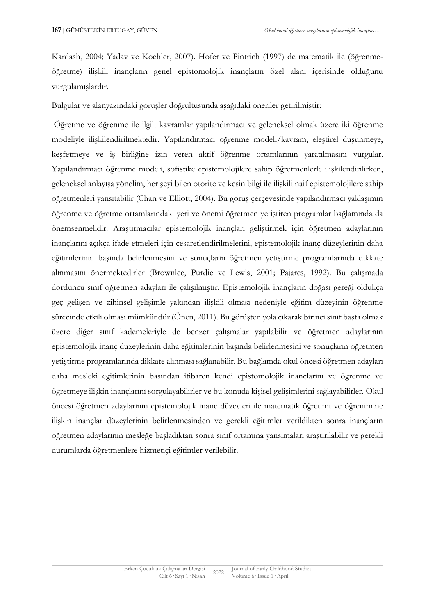Kardash, 2004; Yadav ve Koehler, 2007). Hofer ve Pintrich (1997) de matematik ile (öğrenmeöğretme) ilişkili inançların genel epistomolojik inançların özel alanı içerisinde olduğunu vurgulamışlardır.

Bulgular ve alanyazındaki görüşler doğrultusunda aşağıdaki öneriler getirilmiştir:

Öğretme ve öğrenme ile ilgili kavramlar yapılandırmacı ve geleneksel olmak üzere iki öğrenme modeliyle ilişkilendirilmektedir. Yapılandırmacı öğrenme modeli/kavram, eleştirel düşünmeye, keşfetmeye ve iş birliğine izin veren aktif öğrenme ortamlarının yaratılmasını vurgular. Yapılandırmacı öğrenme modeli, sofistike epistemolojilere sahip öğretmenlerle ilişkilendirilirken, geleneksel anlayışa yönelim, her şeyi bilen otorite ve kesin bilgi ile ilişkili naif epistemolojilere sahip öğretmenleri yansıtabilir (Chan ve Elliott, 2004). Bu görüş çerçevesinde yapılandırmacı yaklaşımın öğrenme ve öğretme ortamlarındaki yeri ve önemi öğretmen yetiştiren programlar bağlamında da önemsenmelidir. Araştırmacılar epistemolojik inançları geliştirmek için öğretmen adaylarının inançlarını açıkça ifade etmeleri için cesaretlendirilmelerini, epistemolojik inanç düzeylerinin daha eğitimlerinin başında belirlenmesini ve sonuçların öğretmen yetiştirme programlarında dikkate alınmasını önermektedirler (Brownlee, Purdie ve Lewis, 2001; Pajares, 1992). Bu çalışmada dördüncü sınıf öğretmen adayları ile çalışılmıştır. Epistemolojik inançların doğası gereği oldukça geç gelişen ve zihinsel gelişimle yakından ilişkili olması nedeniyle eğitim düzeyinin öğrenme sürecinde etkili olması mümkündür (Önen, 2011). Bu görüşten yola çıkarak birinci sınıf başta olmak üzere diğer sınıf kademeleriyle de benzer çalışmalar yapılabilir ve öğretmen adaylarının epistemolojik inanç düzeylerinin daha eğitimlerinin başında belirlenmesini ve sonuçların öğretmen yetiştirme programlarında dikkate alınması sağlanabilir. Bu bağlamda okul öncesi öğretmen adayları daha mesleki eğitimlerinin başından itibaren kendi epistomolojik inançlarını ve öğrenme ve öğretmeye ilişkin inançlarını sorgulayabilirler ve bu konuda kişisel gelişimlerini sağlayabilirler. Okul öncesi öğretmen adaylarının epistemolojik inanç düzeyleri ile matematik öğretimi ve öğrenimine ilişkin inançlar düzeylerinin belirlenmesinden ve gerekli eğitimler verildikten sonra inançların öğretmen adaylarının mesleğe başladıktan sonra sınıf ortamına yansımaları araştırılabilir ve gerekli durumlarda öğretmenlere hizmetiçi eğitimler verilebilir.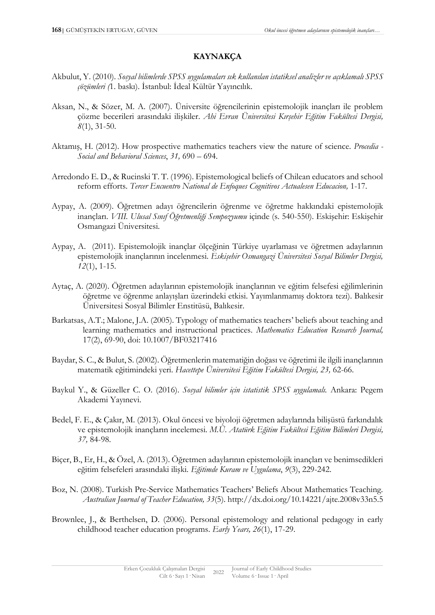# **KAYNAKÇA**

- Akbulut, Y. (2010). *Sosyal bilimlerde SPSS uygulamaları sık kullanılan istatiksel analizler ve açıklamalı SPSS çözümleri (*1. baskı). İstanbul: İdeal Kültür Yayıncılık.
- Aksan, N., & Sözer, M. A. (2007). Üniversite öğrencilerinin epistemolojik inançları ile problem çözme becerileri arasındaki ilişkiler. *Ahi Evran Üniversitesi Kırşehir Eğitim Fakültesi Dergisi, 8*(1), 31-50.
- Aktamış, H. (2012). How prospective mathematics teachers view the nature of science. *Procedia - Social and Behavioral Sciences*, *31,* 690 – 694.
- Arredondo E. D., & Rucinski T. T. (1996). Epistemological beliefs of Chilean educators and school reform efforts. *Tercer Encuentro National de Enfoques Cognitivos Actualesen Educacion,* 1-17*.*
- Aypay, A. (2009). Öğretmen adayı öğrencilerin öğrenme ve öğretme hakkındaki epistemolojik inançları. *VIII. Ulusal Sınıf Öğretmenliği Sempozyumu* içinde (s. 540-550). Eskişehir: Eskişehir Osmangazi Üniversitesi.
- Aypay, A. (2011). Epistemolojik inançlar ölçeğinin Türkiye uyarlaması ve öğretmen adaylarının epistemolojik inançlarının incelenmesi. *Eskişehir Osmangazi Üniversitesi Sosyal Bilimler Dergisi, 12*(1), 1-15.
- Aytaç, A. (2020). Öğretmen adaylarının epistemolojik inançlarının ve eğitim felsefesi eğilimlerinin öğretme ve öğrenme anlayışları üzerindeki etkisi. Yayımlanmamış doktora tezi). Balıkesir Üniversitesi Sosyal Bilimler Enstitüsü, Balıkesir.
- Barkatsas, A.T.; Malone, J.A. (2005). Typology of mathematics teachers' beliefs about teaching and learning mathematics and instructional practices. *Mathematics Education Research Journal,* 17(2), 69-90, doi: 10.1007/BF03217416
- Baydar, S. C., & Bulut, S. (2002). Öğretmenlerin matematiğin doğası ve öğretimi ile ilgili inançlarının matematik eğitimindeki yeri. *Hacettepe Üniversitesi Eğitim Fakültesi Dergisi, 23,* 62-66.
- Baykul Y., & Güzeller C. O. (2016). *Sosyal bilimler için istatistik SPSS uygulamalı.* Ankara: Pegem Akademi Yayınevi.
- Bedel, F. E., & Çakır, M. (2013). Okul öncesi ve biyoloji öğretmen adaylarında bilişüstü farkındalık ve epistemolojik inançların incelemesi. *M.Ü. Atatürk Eğitim Fakültesi Eğitim Bilimleri Dergisi, 37,* 84-98.
- Biçer, B., Er, H., & Özel, A. (2013). Öğretmen adaylarının epistemolojik inançları ve benimsedikleri eğitim felsefeleri arasındaki ilişki. *Eğitimde Kuram ve Uygulama*, *9*(3), 229-242.
- Boz, N. (2008). Turkish Pre-Service Mathematics Teachers' Beliefs About Mathematics Teaching. *Australian Journal of Teacher Education, 33*(5). http://dx.doi.org/10.14221/ajte.2008v33n5.5
- Brownlee, J., & Berthelsen, D. (2006). Personal epistemology and relational pedagogy in early childhood teacher education programs. *Early Years, 26*(1), 17-29.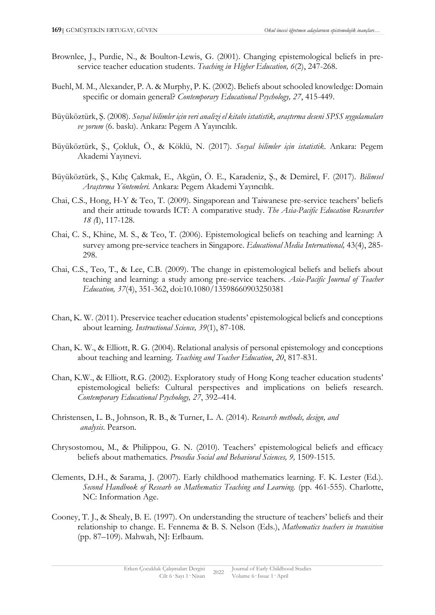- Brownlee, J., Purdie, N., & Boulton-Lewis, G. (2001). Changing epistemological beliefs in preservice teacher education students. *Teaching in Higher Education, 6*(2), 247-268.
- Buehl, M. M., Alexander, P. A. & Murphy, P. K. (2002). Beliefs about schooled knowledge: Domain specific or domain general? *Contemporary Educational Psychology, 27*, 415-449.
- Büyüköztürk, Ş. (2008). *Sosyal bilimler için veri analizi el kitabı istatistik, araştırma deseni SPSS uygulamaları ve yorum* (6. baskı). Ankara: Pegem A Yayıncılık.
- Büyüköztürk, Ş., Çokluk, Ö., & Köklü, N. (2017). *Sosyal bilimler için istatistik*. Ankara: Pegem Akademi Yayınevi.
- Büyüköztürk, Ş., Kılıç Çakmak, E., Akgün, Ö. E., Karadeniz, Ş., & Demirel, F. (2017). *Bilimsel Araştırma Yöntemleri.* Ankara: Pegem Akademi Yayıncılık.
- Chai, C.S., Hong, H-Y & Teo, T. (2009). Singaporean and Taiwanese pre-service teachers' beliefs and their attitude towards ICT: A comparative study. *The Asia-Pacific Education Researcher 18 (*I), 117-128.
- Chai, C. S., Khine, M. S., & Teo, T. (2006). Epistemological beliefs on teaching and learning: A survey among pre‐service teachers in Singapore. *Educational Media International,* 43(4), 285- 298.
- Chai, C.S., Teo, T., & Lee, C.B. (2009). The change in epistemological beliefs and beliefs about teaching and learning: a study among pre-service teachers. *Asia-Pacific Journal of Teacher Education, 37*(4), 351-362, doi:10.1080/13598660903250381
- Chan, K. W. (2011). Preservice teacher education students' epistemological beliefs and conceptions about learning. *Instructional Science, 39*(1), 87-108.
- Chan, K. W., & Elliott, R. G. (2004). Relational analysis of personal epistemology and conceptions about teaching and learning. *Teaching and Teacher Education*, *20*, 817-831.
- Chan, K.W., & Elliott, R.G. (2002). Exploratory study of Hong Kong teacher education students' epistemological beliefs: Cultural perspectives and implications on beliefs research. *Contemporary Educational Psychology, 27*, 392–414.
- Christensen, L. B., Johnson, R. B., & Turner, L. A. (2014). *Research methods, design, and analysis*. Pearson.
- Chrysostomou, M., & Philippou, G. N. (2010). Teachers' epistemological beliefs and efficacy beliefs about mathematics. *Procedia Social and Behavioral Sciences, 9,* 1509-1515.
- Clements, D.H., & Sarama, J. (2007). Early childhood mathematics learning. F. K. Lester (Ed.). *Second Handbook of Researh on Mathematics Teaching and Learning.* (pp. 461-555). Charlotte, NC: Information Age.
- Cooney, T. J., & Shealy, B. E. (1997). On understanding the structure of teachers' beliefs and their relationship to change. E. Fennema & B. S. Nelson (Eds.), *Mathematics teachers in transition* (pp. 87–109). Mahwah, NJ: Erlbaum.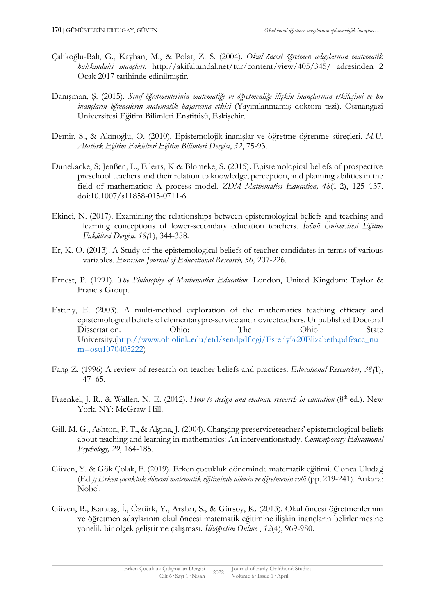- Çalıkoğlu-Balı, G., Kayhan, M., & Polat, Z. S. (2004). *Okul öncesi öğretmen adaylarının matematik hakkındaki inançları*. <http://akifaltundal.net/tur/content/view/405/345/> adresinden 2 Ocak 2017 tarihinde edinilmiştir.
- Danışman, Ş. (2015). *Sınıf öğretmenlerinin matematiğe ve öğretmenliğe ilişkin inançlarının etkileşimi ve bu inançların öğrencilerin matematik başarısına etkisi* (Yayımlanmamış doktora tezi). Osmangazi Üniversitesi Eğitim Bilimleri Enstitüsü, Eskişehir.
- Demir, S., & Akınoğlu, O. (2010). Epistemolojik inanışlar ve öğretme öğrenme süreçleri. *M.Ü. Atatürk Eğitim Fakültesi Eğitim Bilimleri Dergisi*, *32*, 75-93.
- Dunekacke, S; Jenßen, L., Eilerts, K & Blömeke, S. (2015). Epistemological beliefs of prospective preschool teachers and their relation to knowledge, perception, and planning abilities in the field of mathematics: A process model. *ZDM Mathematics Education, 48*(1-2), 125–137. doi:10.1007/s11858-015-0711-6
- Ekinci, N. (2017). Examining the relationships between epistemological beliefs and teaching and learning conceptions of lower-secondary education teachers. *İnönü Üniversitesi Eğitim Fakültesi Dergisi, 18(*1), 344-358.
- Er, K. O. (2013). A Study of the epistemological beliefs of teacher candidates in terms of various variables. *Eurasian Journal of Educational Research, 50,* 207-226.
- Ernest, P. (1991). *The Philosophy of Mathematics Education.* London, United Kingdom: Taylor & Francis Group.
- Esterly, E. (2003). A multi-method exploration of the mathematics teaching efficacy and epistemological beliefs of elementarypre-service and noviceteachers. Unpublished Doctoral Dissertation. Ohio: The Ohio State University.[\(http://www.ohiolink.edu/etd/sendpdf.cgi/Esterly%20Elizabeth.pdf?acc\\_nu](http://www.ohiolink.edu/etd/sendpdf.cgi/Esterly%20Elizabeth.pdf?acc_num=osu1070405222) [m=osu1070405222\)](http://www.ohiolink.edu/etd/sendpdf.cgi/Esterly%20Elizabeth.pdf?acc_num=osu1070405222)
- Fang Z. (1996) A review of research on teacher beliefs and practices. *Educational Researcher, 38(*1), 47–65.
- Fraenkel, J. R., & Wallen, N. E. (2012). *How to design and evaluate research in education* (8<sup>th</sup> ed.). New York, NY: McGraw-Hill.
- Gill, M. G., Ashton, P. T., & Algina, J. (2004). Changing preserviceteachers' epistemological beliefs about teaching and learning in mathematics: An interventionstudy. *Contemporary Educational Psychology, 29,* 164-185.
- Güven, Y. & Gök Çolak, F. (2019). Erken çocukluk döneminde matematik eğitimi. Gonca Uludağ (Ed*.); Erken çocukluk dönemi matematik eğitiminde ailenin ve öğretmenin rolü* (pp. 219-241). Ankara: Nobel.
- Güven, B., Karataş, İ., Öztürk, Y., Arslan, S., & Gürsoy, K. (2013). Okul öncesi öğretmenlerinin ve öğretmen adaylarının okul öncesi matematik eğitimine ilişkin inançların belirlenmesine yönelik bir ölçek geliştirme çalışması. *İlköğretim Online* , *12*(4), 969-980.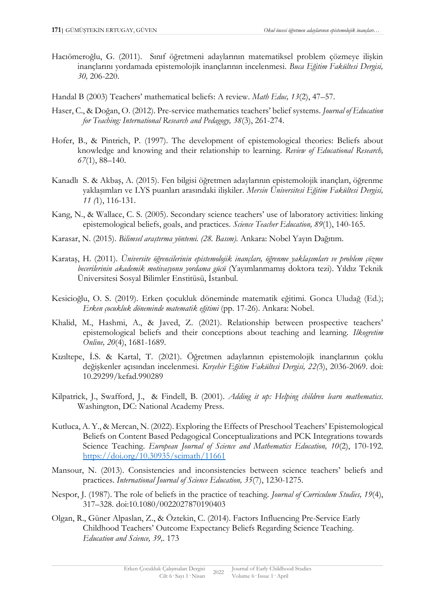- Hacıömeroğlu, G. (2011). Sınıf öğretmeni adaylarının matematiksel problem çözmeye ilişkin inançlarını yordamada epistemolojik inançlarının incelenmesi. *Buca Eğitim Fakültesi Dergisi, 30,* 206-220.
- Handal B (2003) Teachers' mathematical beliefs: A review. *Math Educ, 13*(2), 47–57.
- Haser, C., & Doğan, O. (2012). Pre-service mathematics teachers' belief systems. *Journal of Education for Teaching: International Research and Pedagogy, 38*(3), 261-274.
- Hofer, B., & Pintrich, P. (1997). The development of epistemological theories: Beliefs about knowledge and knowing and their relationship to learning. *Review of Educational Research, 67*(1), 88–140.
- Kanadlı S. & Akbaş, A. (2015). Fen bilgisi öğretmen adaylarının epistemolojik inançları, öğrenme yaklaşımları ve LYS puanları arasındaki ilişkiler. *Mersin Üniversitesi Eğitim Fakültesi Dergisi, 11 (*1), 116-131.
- Kang, N., & Wallace, C. S. (2005). Secondary science teachers' use of laboratory activities: linking epistemological beliefs, goals, and practices. *Science Teacher Education, 89*(1), 140-165.
- Karasar, N. (2015). *Bilimsel araştırma yöntemi. (28. Basım).* Ankara: Nobel Yayın Dağıtım.
- Karataş, H. (2011). *Üniversite öğrencilerinin epistemolojik inançları, öğrenme yaklaşımları ve problem çözme becerilerinin akademik motivasyonu yordama gücü* (Yayımlanmamış doktora tezi). Yıldız Teknik Üniversitesi Sosyal Bilimler Enstitüsü, İstanbul.
- Kesicioğlu, O. S. (2019). Erken çocukluk döneminde matematik eğitimi. Gonca Uludağ (Ed.); *Erken çocukluk döneminde matematik eğitimi* (pp. 17-26). Ankara: Nobel.
- Khalid, M., Hashmi, A., & Javed, Z. (2021). Relationship between prospective teachers' epistemological beliefs and their conceptions about teaching and learning. *Ilkogretim Online, 20*(4), 1681-1689.
- Kızıltepe, İ.S. & Kartal, T. (2021). Öğretmen adaylarının epistemolojik inançlarının çoklu değişkenler açısından incelenmesi. *Kırşehir Eğitim Fakültesi Dergisi, 22(*3), 2036-2069. doi: 10.29299/kefad.990289
- Kilpatrick, J., Swafford, J., & Findell, B. (2001). *Adding it up: Helping children learn mathematics*. Washington, DC: National Academy Press.
- Kutluca, A. Y., & Mercan, N. (2022). Exploring the Effects of Preschool Teachers' Epistemological Beliefs on Content Based Pedagogical Conceptualizations and PCK Integrations towards Science Teaching. *European Journal of Science and Mathematics Education, 10*(2), 170-192. <https://doi.org/10.30935/scimath/11661>
- Mansour, N. (2013). Consistencies and inconsistencies between science teachers' beliefs and practices. *International Journal of Science Education, 35*(7), 1230-1275.
- Nespor, J. (1987). The role of beliefs in the practice of teaching. *Journal of Curriculum Studies, 19*(4), 317–328. doi:10.1080/0022027870190403
- Olgan, R., Güner Alpaslan, Z., & Öztekin, C. (2014). Factors Influencing Pre-Service Early Childhood Teachers' Outcome Expectancy Beliefs Regarding Science Teaching. *Education and Science, 39,*. 173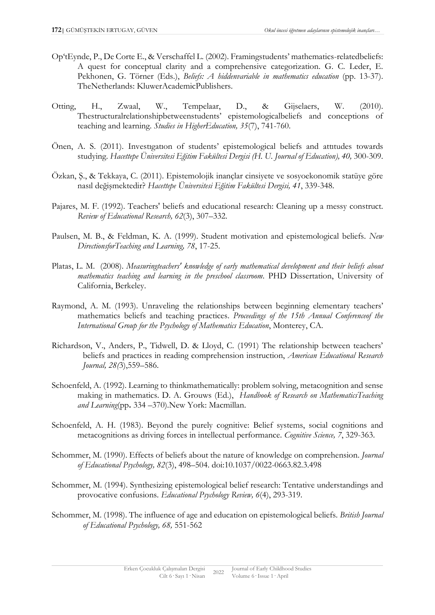- Op'tEynde, P., De Corte E., & Verschaffel L. (2002). Framingstudents' mathematics-relatedbeliefs: A quest for conceptual clarity and a comprehensive categorization. G. C. Leder, E. Pekhonen, G. Törner (Eds.), *Beliefs: A hiddenvariable in mathematics education* (pp. 13-37). TheNetherlands: KluwerAcademicPublishers.
- Otting, H., Zwaal, W., Tempelaar, D., & Gijselaers, W. (2010). Thestructuralrelationshipbetweenstudents' epistemologicalbeliefs and conceptions of teaching and learning. *Studies in HigherEducation, 35*(7), 741-760.
- Önen, A. S. (2011). Investıgatıon of students' epistemological beliefs and attıtudes towards studying. *Hacettepe Üniversitesi Eğitim Fakültesi Dergisi (H. U. Journal of Education), 40,* 300-309.
- Özkan, Ş., & Tekkaya, C. (2011). Epistemolojik inançlar cinsiyete ve sosyoekonomik statüye göre nasıl değişmektedir? *Hacettepe Üniversitesi Eğitim Fakültesi Dergisi, 41*, 339-348.
- Pajares, M. F. (1992). Teachers' beliefs and educational research: Cleaning up a messy construct. *Review of Educational Research, 62*(3), 307–332.
- Paulsen, M. B., & Feldman, K. A. (1999). Student motivation and epistemological beliefs. *New DirectionsforTeaching and Learning, 78*, 17-25.
- Platas, L. M. (2008). *Measuringteachers' knowledge of early mathematical development and their beliefs about mathematics teaching and learning in the preschool classroom*. PHD Dissertation, University of California, Berkeley.
- Raymond, A. M. (1993). Unraveling the relationships between beginning elementary teachers' mathematics beliefs and teaching practices. *Proceedings of the 15th Annual Conferenceof the International Group for the Psychology of Mathematics Education*, Monterey, CA.
- Richardson, V., Anders, P., Tidwell, D. & Lloyd, C. (1991) The relationship between teachers' beliefs and practices in reading comprehension instruction, *American Educational Research Journal, 28(*3),559–586.
- Schoenfeld, A. (1992). Learning to thinkmathematically: problem solving, metacognition and sense making in mathematics. D. A. Grouws (Ed.), *Handbook of Research on MathematicsTeaching and Learning*(pp**.** 334 –370).New York: Macmillan.
- Schoenfeld, A. H. (1983). Beyond the purely cognitive: Belief systems, social cognitions and metacognitions as driving forces in intellectual performance. *Cognitive Science, 7*, 329-363.
- Schommer, M. (1990). Effects of beliefs about the nature of knowledge on comprehension. *Journal of Educational Psychology, 82*(3), 498–504. doi:10.1037/0022-0663.82.3.498
- Schommer, M. (1994). Synthesizing epistemological belief research: Tentative understandings and provocative confusions. *Educational Psychology Review, 6*(4), 293-319.
- Schommer, M. (1998). The influence of age and education on epistemological beliefs. *British Journal of Educational Psychology, 68,* 551-562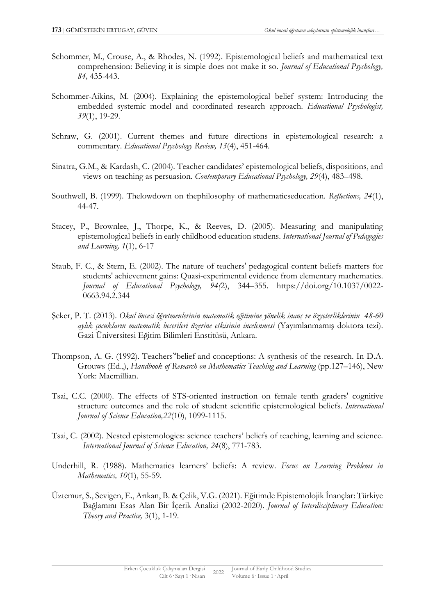- Schommer, M., Crouse, A., & Rhodes, N. (1992). Epistemological beliefs and mathematical text comprehension: Believing it is simple does not make it so. *Journal of Educational Psychology, 84,* 435-443.
- Schommer-Aikins, M. (2004). Explaining the epistemological belief system: Introducing the embedded systemic model and coordinated research approach. *Educational Psychologist, 39*(1), 19-29.
- Schraw, G. (2001). Current themes and future directions in epistemological research: a commentary. *Educational Psychology Review, 13*(4), 451-464.
- Sinatra, G.M., & Kardash, C. (2004). Teacher candidates' epistemological beliefs, dispositions, and views on teaching as persuasion. *Contemporary Educational Psychology, 29*(4), 483–498.
- Southwell, B. (1999). Thelowdown on thephilosophy of mathematicseducation. *Reflections, 24*(1), 44-47.
- Stacey, P., Brownlee, J., Thorpe, K., & Reeves, D. (2005). Measuring and manipulating epistemological beliefs in early childhood education studens. *International Journal of Pedagogies and Learning, 1*(1), 6-17
- Staub, F. C., & Stern, E. (2002). The nature of teachers' pedagogical content beliefs matters for students' achievement gains: Quasi-experimental evidence from elementary mathematics. *Journal of Educational Psychology, 94(*2), 344–355. https://doi.org/10.1037/0022- 0663.94.2.344
- Şeker, P. T. (2013). *Okul öncesi öğretmenlerinin matematik eğitimine yönelik inanç ve özyeterliklerinin 48-60 aylık çocukların matematik becerileri üzerine etkisinin incelenmesi* (Yayımlanmamış doktora tezi). Gazi Üniversitesi Eğitim Bilimleri Enstitüsü, Ankara.
- Thompson, A. G. (1992). Teachers"belief and conceptions: A synthesis of the research. In D.A. Grouws (Ed.,), *Handbook of Research on Mathematics Teaching and Learning* (pp.127–146), New York: Macmillian.
- Tsai, C.C. (2000). The effects of STS-oriented instruction on female tenth graders' cognitive structure outcomes and the role of student scientific epistemological beliefs. *International Journal of Science Education,22*(10), 1099-1115.
- Tsai, C. (2002). Nested epistemologies: science teachers' beliefs of teaching, learning and science. *International Journal of Science Education, 24*(8), 771-783.
- Underhill, R. (1988). Mathematics learners' beliefs: A review. *Focus on Learning Problems in Mathematics, 10*(1), 55-59.
- Üztemur, S., Sevigen, E., Arıkan, B. & Çelik, V.G. (2021). Eğitimde Epistemolojik İnançlar: Türkiye Bağlamını Esas Alan Bir İçerik Analizi (2002-2020). *Journal of Interdisciplinary Education: Theory and Practice,* 3(1), 1-19.